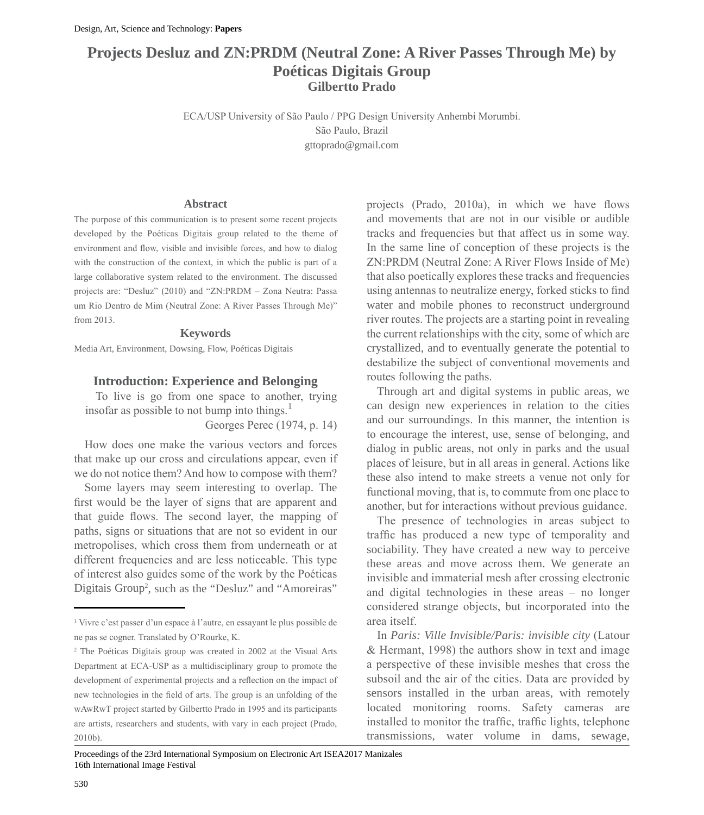# **Projects Desluz and ZN:PRDM (Neutral Zone: A River Passes Through Me) by Poéticas Digitais Group Gilbertto Prado**

ECA/USP University of São Paulo / PPG Design University Anhembi Morumbi. São Paulo, Brazil gttoprado@gmail.com

### **Abstract**

The purpose of this communication is to present some recent projects developed by the Poéticas Digitais group related to the theme of environment and flow, visible and invisible forces, and how to dialog with the construction of the context, in which the public is part of a large collaborative system related to the environment. The discussed projects are: "Desluz" (2010) and "ZN:PRDM – Zona Neutra: Passa um Rio Dentro de Mim (Neutral Zone: A River Passes Through Me)" from 2013.

#### **Keywords**

Media Art, Environment, Dowsing, Flow, Poéticas Digitais

### **Introduction: Experience and Belonging**

To live is go from one space to another, trying insofar as possible to not bump into things. $<sup>1</sup>$ </sup>

Georges Perec (1974, p. 14)

How does one make the various vectors and forces that make up our cross and circulations appear, even if we do not notice them? And how to compose with them?

Some layers may seem interesting to overlap. The first would be the layer of signs that are apparent and that guide flows. The second layer, the mapping of paths, signs or situations that are not so evident in our metropolises, which cross them from underneath or at different frequencies and are less noticeable. This type of interest also guides some of the work by the Poéticas Digitais Group<sup>2</sup>, such as the "Desluz" and "Amoreiras" projects (Prado, 2010a), in which we have flows and movements that are not in our visible or audible tracks and frequencies but that affect us in some way. In the same line of conception of these projects is the ZN:PRDM (Neutral Zone: A River Flows Inside of Me) that also poetically explores these tracks and frequencies using antennas to neutralize energy, forked sticks to find water and mobile phones to reconstruct underground river routes. The projects are a starting point in revealing the current relationships with the city, some of which are crystallized, and to eventually generate the potential to destabilize the subject of conventional movements and routes following the paths.

Through art and digital systems in public areas, we can design new experiences in relation to the cities and our surroundings. In this manner, the intention is to encourage the interest, use, sense of belonging, and dialog in public areas, not only in parks and the usual places of leisure, but in all areas in general. Actions like these also intend to make streets a venue not only for functional moving, that is, to commute from one place to another, but for interactions without previous guidance.

The presence of technologies in areas subject to traffic has produced a new type of temporality and sociability. They have created a new way to perceive these areas and move across them. We generate an invisible and immaterial mesh after crossing electronic and digital technologies in these areas – no longer considered strange objects, but incorporated into the area itself.

In *Paris: Ville Invisible/Paris: invisible city* (Latour & Hermant, 1998) the authors show in text and image a perspective of these invisible meshes that cross the subsoil and the air of the cities. Data are provided by sensors installed in the urban areas, with remotely located monitoring rooms. Safety cameras are installed to monitor the traffic, traffic lights, telephone transmissions, water volume in dams, sewage,

<sup>1</sup> Vivre c'est passer d'un espace à l'autre, en essayant le plus possible de ne pas se cogner. Translated by O'Rourke, K.

<sup>2</sup> The Poéticas Digitais group was created in 2002 at the Visual Arts Department at ECA-USP as a multidisciplinary group to promote the development of experimental projects and a reflection on the impact of new technologies in the field of arts. The group is an unfolding of the wAwRwT project started by Gilbertto Prado in 1995 and its participants are artists, researchers and students, with vary in each project (Prado, 2010b).

Proceedings of the 23rd International Symposium on Electronic Art ISEA2017 Manizales 16th International Image Festival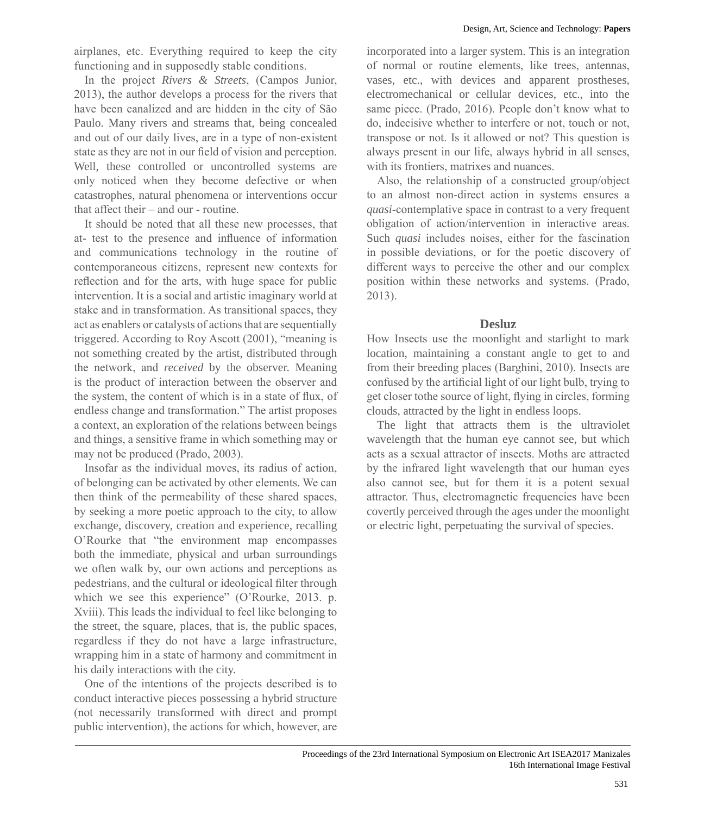airplanes, etc. Everything required to keep the city functioning and in supposedly stable conditions.

In the project *Rivers & Streets*, (Campos Junior, 2013), the author develops a process for the rivers that have been canalized and are hidden in the city of São Paulo. Many rivers and streams that, being concealed and out of our daily lives, are in a type of non-existent state as they are not in our field of vision and perception. Well, these controlled or uncontrolled systems are only noticed when they become defective or when catastrophes, natural phenomena or interventions occur that affect their – and our - routine.

It should be noted that all these new processes, that at- test to the presence and influence of information and communications technology in the routine of contemporaneous citizens, represent new contexts for reflection and for the arts, with huge space for public intervention. It is a social and artistic imaginary world at stake and in transformation. As transitional spaces, they act as enablers or catalysts of actions that are sequentially triggered. According to Roy Ascott (2001), "meaning is not something created by the artist, distributed through the network, and *received* by the observer. Meaning is the product of interaction between the observer and the system, the content of which is in a state of flux, of endless change and transformation." The artist proposes a context, an exploration of the relations between beings and things, a sensitive frame in which something may or may not be produced (Prado, 2003).

Insofar as the individual moves, its radius of action, of belonging can be activated by other elements. We can then think of the permeability of these shared spaces, by seeking a more poetic approach to the city, to allow exchange, discovery, creation and experience, recalling O'Rourke that "the environment map encompasses both the immediate, physical and urban surroundings we often walk by, our own actions and perceptions as pedestrians, and the cultural or ideological filter through which we see this experience" (O'Rourke, 2013. p. Xviii). This leads the individual to feel like belonging to the street, the square, places, that is, the public spaces, regardless if they do not have a large infrastructure, wrapping him in a state of harmony and commitment in his daily interactions with the city.

One of the intentions of the projects described is to conduct interactive pieces possessing a hybrid structure (not necessarily transformed with direct and prompt public intervention), the actions for which, however, are incorporated into a larger system. This is an integration of normal or routine elements, like trees, antennas, vases, etc., with devices and apparent prostheses, electromechanical or cellular devices, etc., into the same piece. (Prado, 2016). People don't know what to do, indecisive whether to interfere or not, touch or not, transpose or not. Is it allowed or not? This question is always present in our life, always hybrid in all senses, with its frontiers, matrixes and nuances.

Also, the relationship of a constructed group/object to an almost non-direct action in systems ensures a *quasi*-contemplative space in contrast to a very frequent obligation of action/intervention in interactive areas. Such *quasi* includes noises, either for the fascination in possible deviations, or for the poetic discovery of different ways to perceive the other and our complex position within these networks and systems. (Prado, 2013).

## **Desluz**

How Insects use the moonlight and starlight to mark location, maintaining a constant angle to get to and from their breeding places (Barghini, 2010). Insects are confused by the artificial light of our light bulb, trying to get closer tothe source of light, flying in circles, forming clouds, attracted by the light in endless loops.

The light that attracts them is the ultraviolet wavelength that the human eye cannot see, but which acts as a sexual attractor of insects. Moths are attracted by the infrared light wavelength that our human eyes also cannot see, but for them it is a potent sexual attractor. Thus, electromagnetic frequencies have been covertly perceived through the ages under the moonlight or electric light, perpetuating the survival of species.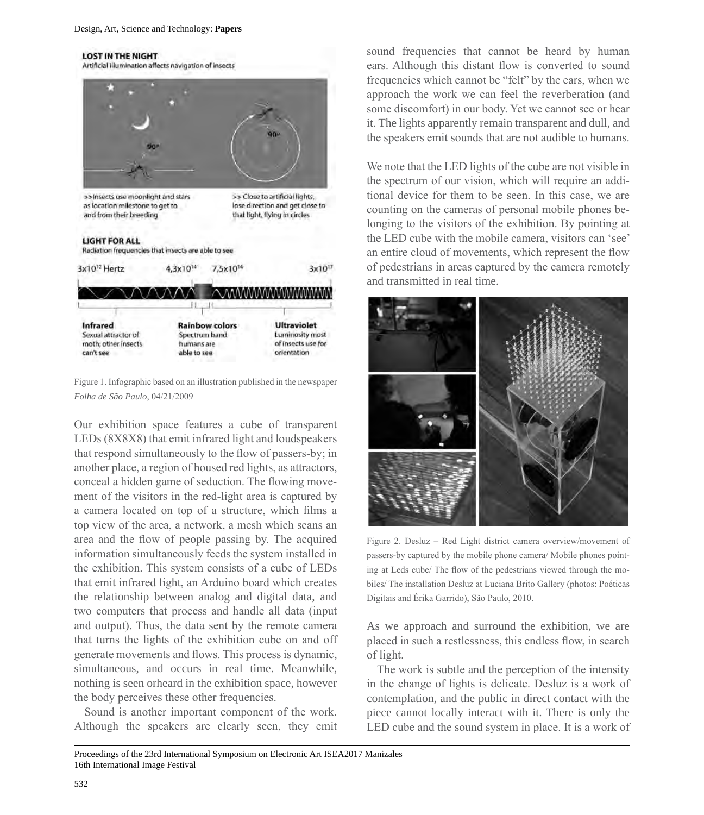#### **LOST IN THE NIGHT**



Figure 1. Infographic based on an illustration published in the newspaper *Folha de São Paulo*, 04/21/2009

Our exhibition space features a cube of transparent LEDs (8X8X8) that emit infrared light and loudspeakers that respond simultaneously to the flow of passers-by; in another place, a region of housed red lights, as attractors, conceal a hidden game of seduction. The flowing movement of the visitors in the red-light area is captured by a camera located on top of a structure, which films a top view of the area, a network, a mesh which scans an area and the flow of people passing by. The acquired information simultaneously feeds the system installed in the exhibition. This system consists of a cube of LEDs that emit infrared light, an Arduino board which creates the relationship between analog and digital data, and two computers that process and handle all data (input and output). Thus, the data sent by the remote camera that turns the lights of the exhibition cube on and off generate movements and flows. This process is dynamic, simultaneous, and occurs in real time. Meanwhile, nothing is seen orheard in the exhibition space, however the body perceives these other frequencies.

Sound is another important component of the work. Although the speakers are clearly seen, they emit sound frequencies that cannot be heard by human ears. Although this distant flow is converted to sound frequencies which cannot be "felt" by the ears, when we approach the work we can feel the reverberation (and some discomfort) in our body. Yet we cannot see or hear it. The lights apparently remain transparent and dull, and the speakers emit sounds that are not audible to humans.

We note that the LED lights of the cube are not visible in the spectrum of our vision, which will require an additional device for them to be seen. In this case, we are counting on the cameras of personal mobile phones belonging to the visitors of the exhibition. By pointing at the LED cube with the mobile camera, visitors can 'see' an entire cloud of movements, which represent the flow of pedestrians in areas captured by the camera remotely and transmitted in real time.



Figure 2. Desluz – Red Light district camera overview/movement of passers-by captured by the mobile phone camera/ Mobile phones pointing at Leds cube/ The flow of the pedestrians viewed through the mobiles/ The installation Desluz at Luciana Brito Gallery (photos: Poéticas Digitais and Érika Garrido), São Paulo, 2010.

As we approach and surround the exhibition, we are placed in such a restlessness, this endless flow, in search of light.

The work is subtle and the perception of the intensity in the change of lights is delicate. Desluz is a work of contemplation, and the public in direct contact with the piece cannot locally interact with it. There is only the LED cube and the sound system in place. It is a work of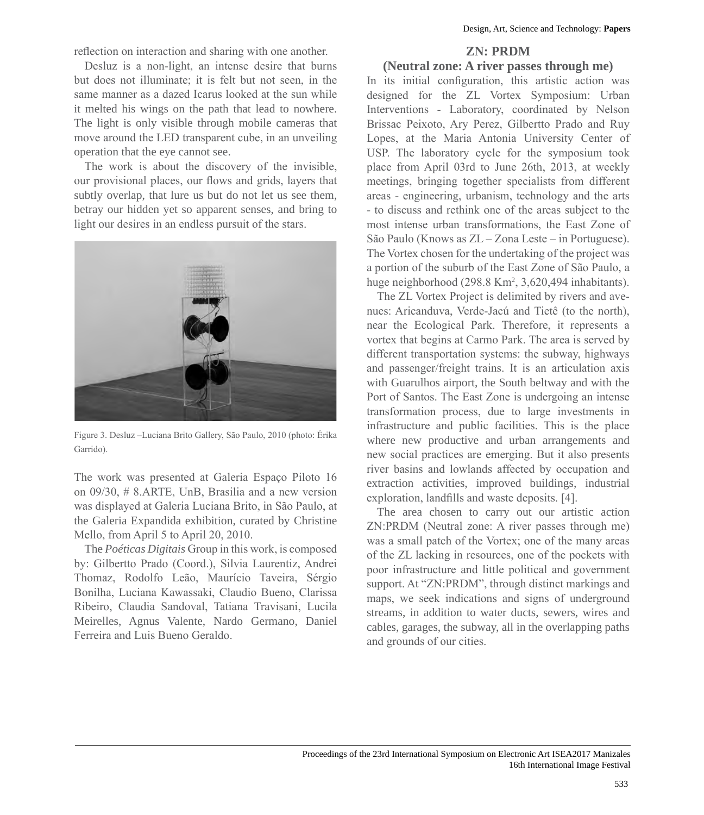reflection on interaction and sharing with one another.

Desluz is a non-light, an intense desire that burns but does not illuminate; it is felt but not seen, in the same manner as a dazed Icarus looked at the sun while it melted his wings on the path that lead to nowhere. The light is only visible through mobile cameras that move around the LED transparent cube, in an unveiling operation that the eye cannot see.

The work is about the discovery of the invisible, our provisional places, our flows and grids, layers that subtly overlap, that lure us but do not let us see them, betray our hidden yet so apparent senses, and bring to light our desires in an endless pursuit of the stars.



Figure 3. Desluz –Luciana Brito Gallery, São Paulo, 2010 (photo: Érika Garrido).

The work was presented at Galeria Espaço Piloto 16 on 09/30, # 8.ARTE, UnB, Brasilia and a new version was displayed at Galeria Luciana Brito, in São Paulo, at the Galeria Expandida exhibition, curated by Christine Mello, from April 5 to April 20, 2010.

The *Poéticas Digitais* Group in this work, is composed by: Gilbertto Prado (Coord.), Silvia Laurentiz, Andrei Thomaz, Rodolfo Leão, Maurício Taveira, Sérgio Bonilha, Luciana Kawassaki, Claudio Bueno, Clarissa Ribeiro, Claudia Sandoval, Tatiana Travisani, Lucila Meirelles, Agnus Valente, Nardo Germano, Daniel Ferreira and Luis Bueno Geraldo.

# **ZN: PRDM**

### **(Neutral zone: A river passes through me)**

In its initial configuration, this artistic action was designed for the ZL Vortex Symposium: Urban Interventions - Laboratory, coordinated by Nelson Brissac Peixoto, Ary Perez, Gilbertto Prado and Ruy Lopes, at the Maria Antonia University Center of USP. The laboratory cycle for the symposium took place from April 03rd to June 26th, 2013, at weekly meetings, bringing together specialists from different areas - engineering, urbanism, technology and the arts - to discuss and rethink one of the areas subject to the most intense urban transformations, the East Zone of São Paulo (Knows as ZL – Zona Leste – in Portuguese). The Vortex chosen for the undertaking of the project was a portion of the suburb of the East Zone of São Paulo, a huge neighborhood (298.8 Km<sup>2</sup>, 3,620,494 inhabitants).

The ZL Vortex Project is delimited by rivers and avenues: Aricanduva, Verde-Jacú and Tietê (to the north), near the Ecological Park. Therefore, it represents a vortex that begins at Carmo Park. The area is served by different transportation systems: the subway, highways and passenger/freight trains. It is an articulation axis with Guarulhos airport, the South beltway and with the Port of Santos. The East Zone is undergoing an intense transformation process, due to large investments in infrastructure and public facilities. This is the place where new productive and urban arrangements and new social practices are emerging. But it also presents river basins and lowlands affected by occupation and extraction activities, improved buildings, industrial exploration, landfills and waste deposits. [4].

The area chosen to carry out our artistic action ZN:PRDM (Neutral zone: A river passes through me) was a small patch of the Vortex; one of the many areas of the ZL lacking in resources, one of the pockets with poor infrastructure and little political and government support. At "ZN:PRDM", through distinct markings and maps, we seek indications and signs of underground streams, in addition to water ducts, sewers, wires and cables, garages, the subway, all in the overlapping paths and grounds of our cities.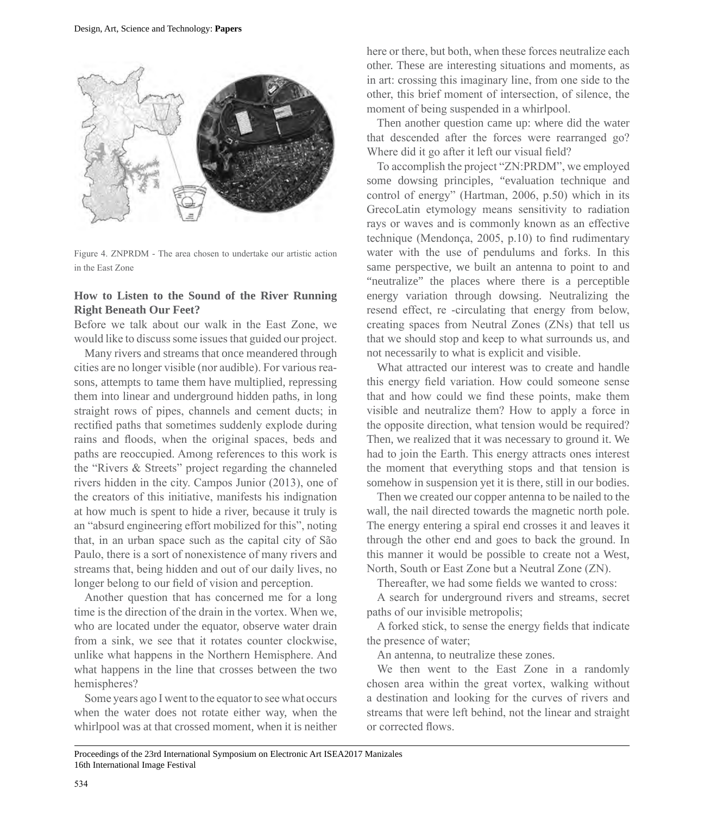

Figure 4. ZNPRDM - The area chosen to undertake our artistic action in the East Zone

## **How to Listen to the Sound of the River Running Right Beneath Our Feet?**

Before we talk about our walk in the East Zone, we would like to discuss some issues that guided our project.

Many rivers and streams that once meandered through cities are no longer visible (nor audible). For various reasons, attempts to tame them have multiplied, repressing them into linear and underground hidden paths, in long straight rows of pipes, channels and cement ducts; in rectified paths that sometimes suddenly explode during rains and floods, when the original spaces, beds and paths are reoccupied. Among references to this work is the "Rivers & Streets" project regarding the channeled rivers hidden in the city. Campos Junior (2013), one of the creators of this initiative, manifests his indignation at how much is spent to hide a river, because it truly is an "absurd engineering effort mobilized for this", noting that, in an urban space such as the capital city of São Paulo, there is a sort of nonexistence of many rivers and streams that, being hidden and out of our daily lives, no longer belong to our field of vision and perception.

Another question that has concerned me for a long time is the direction of the drain in the vortex. When we, who are located under the equator, observe water drain from a sink, we see that it rotates counter clockwise, unlike what happens in the Northern Hemisphere. And what happens in the line that crosses between the two hemispheres?

Some years ago I went to the equator to see what occurs when the water does not rotate either way, when the whirlpool was at that crossed moment, when it is neither here or there, but both, when these forces neutralize each other. These are interesting situations and moments, as in art: crossing this imaginary line, from one side to the other, this brief moment of intersection, of silence, the moment of being suspended in a whirlpool.

Then another question came up: where did the water that descended after the forces were rearranged go? Where did it go after it left our visual field?

To accomplish the project "ZN:PRDM", we employed some dowsing principles, "evaluation technique and control of energy" (Hartman, 2006, p.50) which in its GrecoLatin etymology means sensitivity to radiation rays or waves and is commonly known as an effective technique (Mendonça, 2005, p.10) to find rudimentary water with the use of pendulums and forks. In this same perspective, we built an antenna to point to and "neutralize" the places where there is a perceptible energy variation through dowsing. Neutralizing the resend effect, re -circulating that energy from below, creating spaces from Neutral Zones (ZNs) that tell us that we should stop and keep to what surrounds us, and not necessarily to what is explicit and visible.

What attracted our interest was to create and handle this energy field variation. How could someone sense that and how could we find these points, make them visible and neutralize them? How to apply a force in the opposite direction, what tension would be required? Then, we realized that it was necessary to ground it. We had to join the Earth. This energy attracts ones interest the moment that everything stops and that tension is somehow in suspension yet it is there, still in our bodies.

Then we created our copper antenna to be nailed to the wall, the nail directed towards the magnetic north pole. The energy entering a spiral end crosses it and leaves it through the other end and goes to back the ground. In this manner it would be possible to create not a West, North, South or East Zone but a Neutral Zone (ZN).

Thereafter, we had some fields we wanted to cross:

A search for underground rivers and streams, secret paths of our invisible metropolis;

A forked stick, to sense the energy fields that indicate the presence of water;

An antenna, to neutralize these zones.

We then went to the East Zone in a randomly chosen area within the great vortex, walking without a destination and looking for the curves of rivers and streams that were left behind, not the linear and straight or corrected flows.

Proceedings of the 23rd International Symposium on Electronic Art ISEA2017 Manizales 16th International Image Festival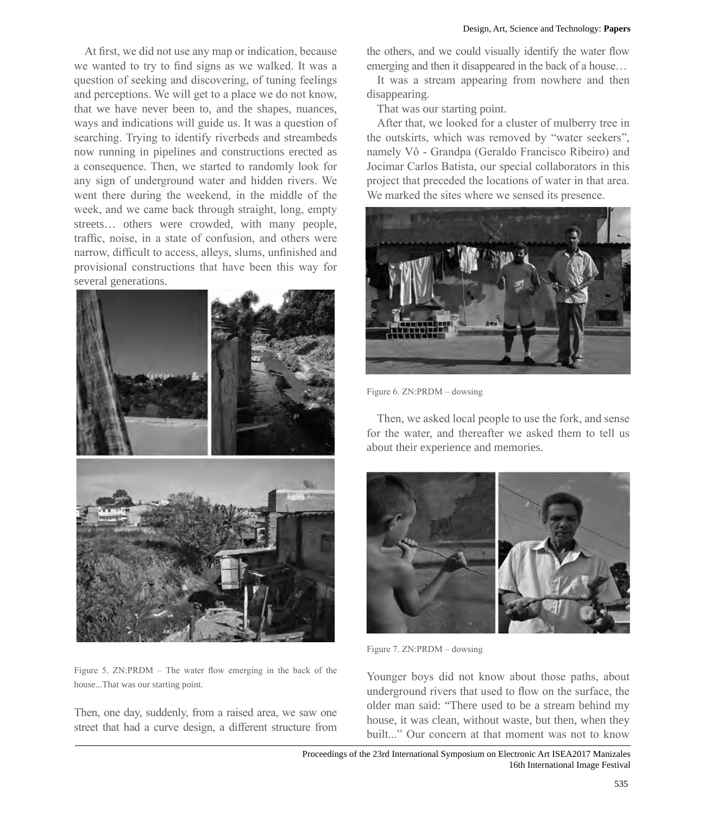At first, we did not use any map or indication, because we wanted to try to find signs as we walked. It was a question of seeking and discovering, of tuning feelings and perceptions. We will get to a place we do not know, that we have never been to, and the shapes, nuances, ways and indications will guide us. It was a question of searching. Trying to identify riverbeds and streambeds now running in pipelines and constructions erected as a consequence. Then, we started to randomly look for any sign of underground water and hidden rivers. We went there during the weekend, in the middle of the week, and we came back through straight, long, empty streets… others were crowded, with many people, traffic, noise, in a state of confusion, and others were narrow, difficult to access, alleys, slums, unfinished and provisional constructions that have been this way for several generations.



Figure 5. ZN:PRDM – The water flow emerging in the back of the house...That was our starting point.

Then, one day, suddenly, from a raised area, we saw one street that had a curve design, a different structure from the others, and we could visually identify the water flow emerging and then it disappeared in the back of a house…

It was a stream appearing from nowhere and then disappearing.

That was our starting point.

After that, we looked for a cluster of mulberry tree in the outskirts, which was removed by "water seekers", namely Vô - Grandpa (Geraldo Francisco Ribeiro) and Jocimar Carlos Batista, our special collaborators in this project that preceded the locations of water in that area. We marked the sites where we sensed its presence.



Figure 6. ZN:PRDM – dowsing

Then, we asked local people to use the fork, and sense for the water, and thereafter we asked them to tell us about their experience and memories.



Figure 7. ZN:PRDM – dowsing

Younger boys did not know about those paths, about underground rivers that used to flow on the surface, the older man said: "There used to be a stream behind my house, it was clean, without waste, but then, when they built..." Our concern at that moment was not to know

Proceedings of the 23rd International Symposium on Electronic Art ISEA2017 Manizales 16th International Image Festival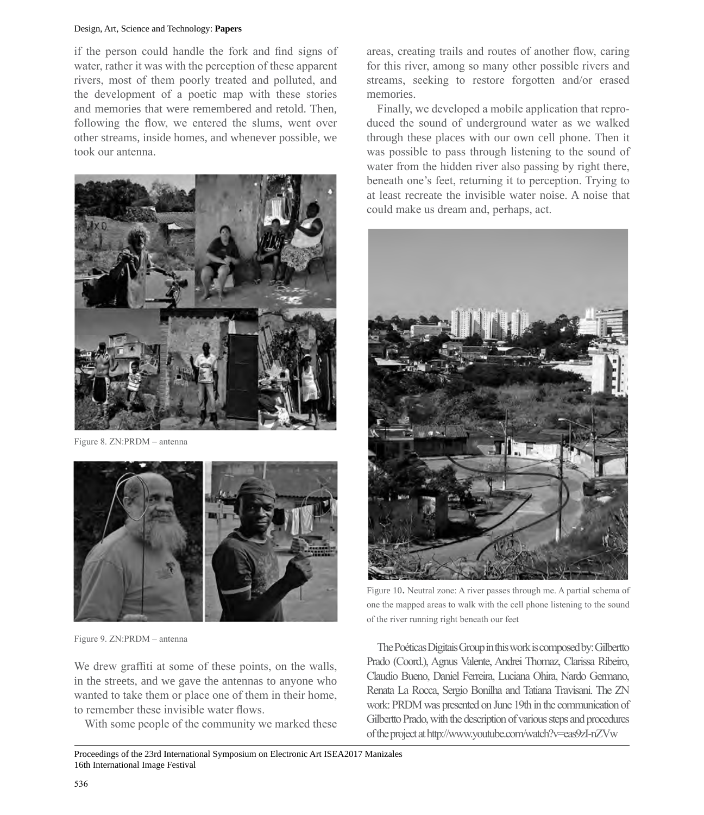#### Design, Art, Science and Technology: **Papers**

if the person could handle the fork and find signs of water, rather it was with the perception of these apparent rivers, most of them poorly treated and polluted, and the development of a poetic map with these stories and memories that were remembered and retold. Then, following the flow, we entered the slums, went over other streams, inside homes, and whenever possible, we took our antenna.



Figure 8. ZN:PRDM – antenna



Figure 9. ZN:PRDM – antenna

We drew graffiti at some of these points, on the walls, in the streets, and we gave the antennas to anyone who wanted to take them or place one of them in their home, to remember these invisible water flows.

With some people of the community we marked these

Proceedings of the 23rd International Symposium on Electronic Art ISEA2017 Manizales 16th International Image Festival

areas, creating trails and routes of another flow, caring for this river, among so many other possible rivers and streams, seeking to restore forgotten and/or erased memories.

Finally, we developed a mobile application that reproduced the sound of underground water as we walked through these places with our own cell phone. Then it was possible to pass through listening to the sound of water from the hidden river also passing by right there, beneath one's feet, returning it to perception. Trying to at least recreate the invisible water noise. A noise that could make us dream and, perhaps, act.



Figure 10. Neutral zone: A river passes through me. A partial schema of one the mapped areas to walk with the cell phone listening to the sound of the river running right beneath our feet

The Poéticas Digitais Group in this work is composed by: Gilbertto Prado (Coord.), Agnus Valente, Andrei Thomaz, Clarissa Ribeiro, Claudio Bueno, Daniel Ferreira, Luciana Ohira, Nardo Germano, Renata La Rocca, Sergio Bonilha and Tatiana Travisani. The ZN work: PRDM was presented on June 19th in the communication of Gilbertto Prado, with the description of various steps and procedures of the project at http://www.youtube.com/watch?v=eas9zI-nZVw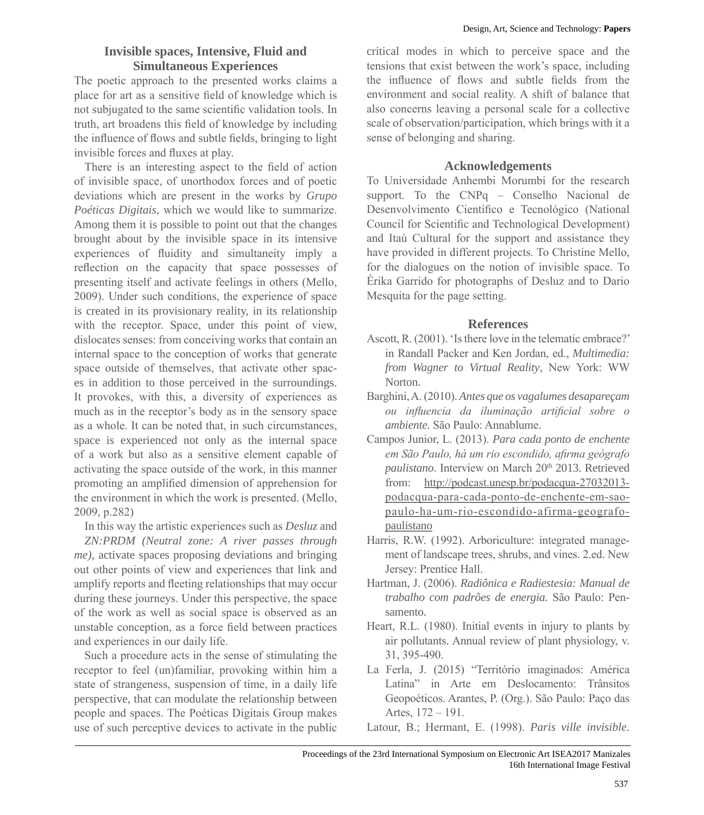# **Invisible spaces, Intensive, Fluid and Simultaneous Experiences**

The poetic approach to the presented works claims a place for art as a sensitive field of knowledge which is not subjugated to the same scientific validation tools. In truth, art broadens this field of knowledge by including the influence of flows and subtle fields, bringing to light invisible forces and fluxes at play.

There is an interesting aspect to the field of action of invisible space, of unorthodox forces and of poetic deviations which are present in the works by *Grupo Poéticas Digitais*, which we would like to summarize. Among them it is possible to point out that the changes brought about by the invisible space in its intensive experiences of fluidity and simultaneity imply a reflection on the capacity that space possesses of presenting itself and activate feelings in others (Mello, 2009). Under such conditions, the experience of space is created in its provisionary reality, in its relationship with the receptor. Space, under this point of view, dislocates senses: from conceiving works that contain an internal space to the conception of works that generate space outside of themselves, that activate other spaces in addition to those perceived in the surroundings. It provokes, with this, a diversity of experiences as much as in the receptor's body as in the sensory space as a whole. It can be noted that, in such circumstances, space is experienced not only as the internal space of a work but also as a sensitive element capable of activating the space outside of the work, in this manner promoting an amplified dimension of apprehension for the environment in which the work is presented. (Mello, 2009, p.282)

In this way the artistic experiences such as *Desluz* and *ZN:PRDM (Neutral zone: A river passes through me)*, activate spaces proposing deviations and bringing out other points of view and experiences that link and amplify reports and fleeting relationships that may occur during these journeys. Under this perspective, the space of the work as well as social space is observed as an unstable conception, as a force field between practices and experiences in our daily life.

Such a procedure acts in the sense of stimulating the receptor to feel (un)familiar, provoking within him a state of strangeness, suspension of time, in a daily life perspective, that can modulate the relationship between people and spaces. The Poéticas Digitais Group makes use of such perceptive devices to activate in the public

critical modes in which to perceive space and the tensions that exist between the work's space, including the influence of flows and subtle fields from the environment and social reality. A shift of balance that also concerns leaving a personal scale for a collective scale of observation/participation, which brings with it a sense of belonging and sharing.

# **Acknowledgements**

To Universidade Anhembi Morumbi for the research support. To the CNPq – Conselho Nacional de Desenvolvimento Científico e Tecnológico (National Council for Scientific and Technological Development) and Itaú Cultural for the support and assistance they have provided in different projects. To Christine Mello, for the dialogues on the notion of invisible space. To Érika Garrido for photographs of Desluz and to Dario Mesquita for the page setting.

# **References**

- Ascott, R. (2001). 'Is there love in the telematic embrace?' in Randall Packer and Ken Jordan, ed., *Multimedia: from Wagner to Virtual Reality*, New York: WW Norton.
- Barghini, A. (2010). *Antes que os vagalumes desapareçam ou influencia da iluminação artificial sobre o ambiente.* São Paulo: Annablume.
- Campos Junior, L. (2013). *Para cada ponto de enchente em São Paulo, há um rio escondido, afirma geógrafo*  paulistano. Interview on March 20<sup>th</sup> 2013. Retrieved from: http://podcast.unesp.br/podacqua-27032013 podacqua-para-cada-ponto-de-enchente-em-saopaulo-ha-um-rio-escondido-afirma-geografopaulistano
- Harris, R.W. (1992). Arboriculture: integrated management of landscape trees, shrubs, and vines. 2.ed. New Jersey: Prentice Hall.
- Hartman, J. (2006). *Radiônica e Radiestesia: Manual de trabalho com padrões de energia.* São Paulo: Pensamento.
- Heart, R.L. (1980). Initial events in injury to plants by air pollutants. Annual review of plant physiology, v. 31, 395-490.
- La Ferla, J. (2015) "Território imaginados: América Latina" in Arte em Deslocamento: Trânsitos Geopoéticos. Arantes, P. (Org.). São Paulo: Paço das Artes, 172 – 191.
- Latour, B.; Hermant, E. (1998). *Paris ville invisible*.